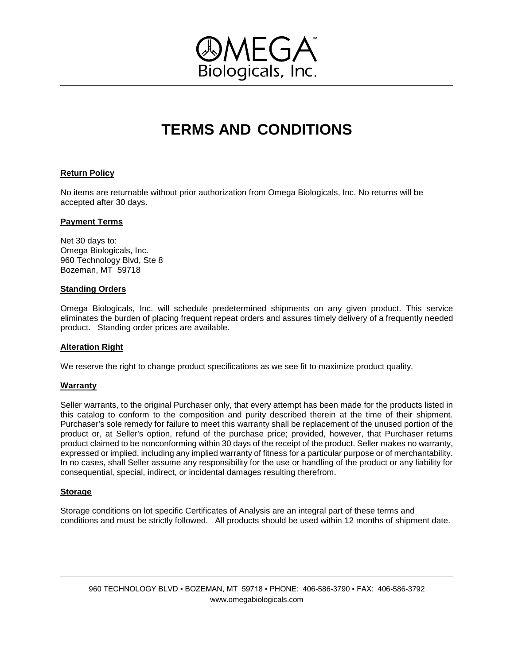

# **TERMS AND CONDITIONS**

## **Return Policy**

No items are returnable without prior authorization from Omega Biologicals, Inc. No returns will be accepted after 30 days.

### **Payment Terms**

Net 30 days to: Omega Biologicals, Inc. 960 Technology Blvd, Ste 8 Bozeman, MT 59718

### **Standing Orders**

Omega Biologicals, Inc. will schedule predetermined shipments on any given product. This service eliminates the burden of placing frequent repeat orders and assures timely delivery of a frequently needed product. Standing order prices are available.

## **Alteration Right**

We reserve the right to change product specifications as we see fit to maximize product quality.

#### **Warranty**

Seller warrants, to the original Purchaser only, that every attempt has been made for the products listed in this catalog to conform to the composition and purity described therein at the time of their shipment. Purchaser's sole remedy for failure to meet this warranty shall be replacement of the unused portion of the product or, at Seller's option, refund of the purchase price; provided, however, that Purchaser returns product claimed to be nonconforming within 30 days of the receipt of the product. Seller makes no warranty, expressed or implied, including any implied warranty of fitness for a particular purpose or of merchantability. In no cases, shall Seller assume any responsibility for the use or handling of the product or any liability for consequential, special, indirect, or incidental damages resulting therefrom.

## **Storage**

Storage conditions on lot specific Certificates of Analysis are an integral part of these terms and conditions and must be strictly followed. All products should be used within 12 months of shipment date.